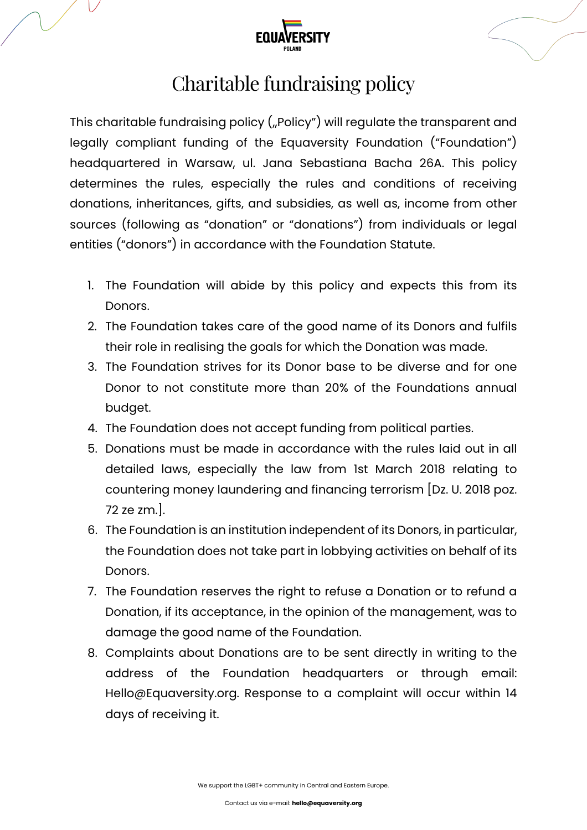

## Charitable fundraising policy

This charitable fundraising policy ("Policy") will regulate the transparent and legally compliant funding of the Equaversity Foundation ("Foundation") headquartered in Warsaw, ul. Jana Sebastiana Bacha 26A. This policy determines the rules, especially the rules and conditions of receiving donations, inheritances, gifts, and subsidies, as well as, income from other sources (following as "donation" or "donations") from individuals or legal entities ("donors") in accordance with the Foundation Statute.

- 1. The Foundation will abide by this policy and expects this from its Donors.
- 2. The Foundation takes care of the good name of its Donors and fulfils their role in realising the goals for which the Donation was made.
- 3. The Foundation strives for its Donor base to be diverse and for one Donor to not constitute more than 20% of the Foundations annual budget.
- 4. The Foundation does not accept funding from political parties.
- 5. Donations must be made in accordance with the rules laid out in all detailed laws, especially the law from 1st March 2018 relating to countering money laundering and financing terrorism [Dz. U. 2018 poz. 72 ze zm.].
- 6. The Foundation is an institution independent of its Donors, in particular, the Foundation does not take part in lobbying activities on behalf of its Donors.
- 7. The Foundation reserves the right to refuse a Donation or to refund a Donation, if its acceptance, in the opinion of the management, was to damage the good name of the Foundation.
- 8. Complaints about Donations are to be sent directly in writing to the address of the Foundation headquarters or through email: Hello@Equaversity.org. Response to a complaint will occur within 14 days of receiving it.